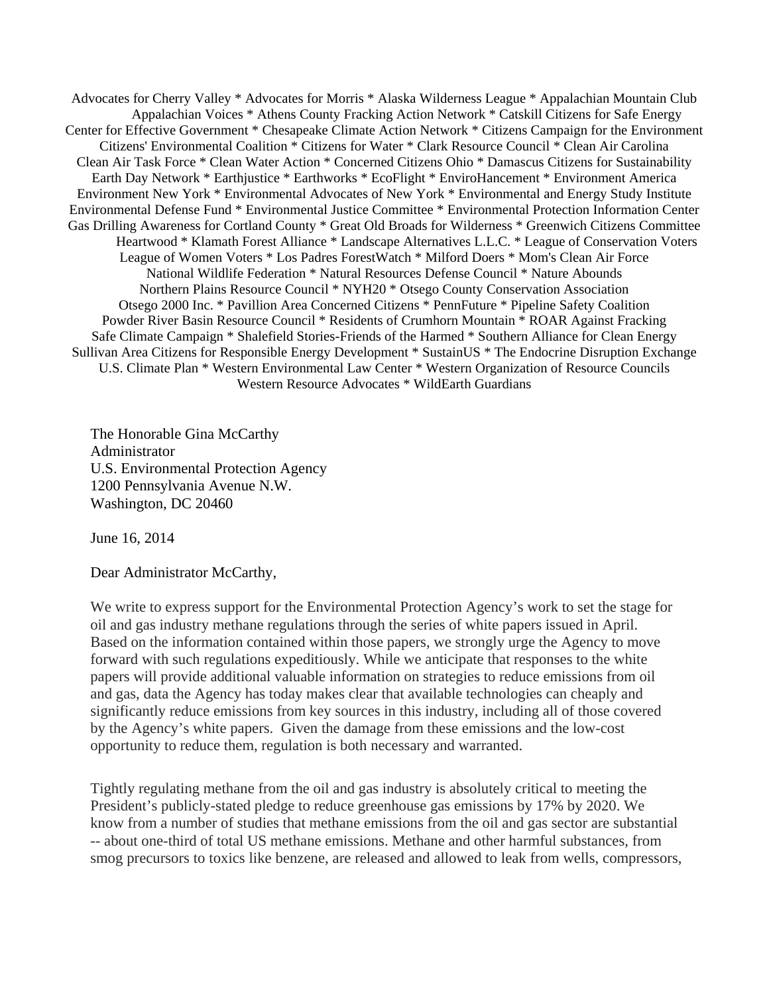Advocates for Cherry Valley \* Advocates for Morris \* Alaska Wilderness League \* Appalachian Mountain Club Appalachian Voices \* Athens County Fracking Action Network \* Catskill Citizens for Safe Energy Center for Effective Government \* Chesapeake Climate Action Network \* Citizens Campaign for the Environment Citizens' Environmental Coalition \* Citizens for Water \* Clark Resource Council \* Clean Air Carolina Clean Air Task Force \* Clean Water Action \* Concerned Citizens Ohio \* Damascus Citizens for Sustainability Earth Day Network \* Earthjustice \* Earthworks \* EcoFlight \* EnviroHancement \* Environment America Environment New York \* Environmental Advocates of New York \* Environmental and Energy Study Institute Environmental Defense Fund \* Environmental Justice Committee \* Environmental Protection Information Center Gas Drilling Awareness for Cortland County \* Great Old Broads for Wilderness \* Greenwich Citizens Committee Heartwood \* Klamath Forest Alliance \* Landscape Alternatives L.L.C. \* League of Conservation Voters League of Women Voters \* Los Padres ForestWatch \* Milford Doers \* Mom's Clean Air Force National Wildlife Federation \* Natural Resources Defense Council \* Nature Abounds Northern Plains Resource Council \* NYH20 \* Otsego County Conservation Association Otsego 2000 Inc. \* Pavillion Area Concerned Citizens \* PennFuture \* Pipeline Safety Coalition Powder River Basin Resource Council \* Residents of Crumhorn Mountain \* ROAR Against Fracking Safe Climate Campaign \* Shalefield Stories-Friends of the Harmed \* Southern Alliance for Clean Energy Sullivan Area Citizens for Responsible Energy Development \* SustainUS \* The Endocrine Disruption Exchange U.S. Climate Plan \* Western Environmental Law Center \* Western Organization of Resource Councils Western Resource Advocates \* WildEarth Guardians

The Honorable Gina McCarthy Administrator U.S. Environmental Protection Agency 1200 Pennsylvania Avenue N.W. Washington, DC 20460

June 16, 2014

Dear Administrator McCarthy,

We write to express support for the Environmental Protection Agency's work to set the stage for oil and gas industry methane regulations through the series of white papers issued in April. Based on the information contained within those papers, we strongly urge the Agency to move forward with such regulations expeditiously. While we anticipate that responses to the white papers will provide additional valuable information on strategies to reduce emissions from oil and gas, data the Agency has today makes clear that available technologies can cheaply and significantly reduce emissions from key sources in this industry, including all of those covered by the Agency's white papers. Given the damage from these emissions and the low-cost opportunity to reduce them, regulation is both necessary and warranted.

Tightly regulating methane from the oil and gas industry is absolutely critical to meeting the President's publicly-stated pledge to reduce greenhouse gas emissions by 17% by 2020. We know from a number of studies that methane emissions from the oil and gas sector are substantial -- about one-third of total US methane emissions. Methane and other harmful substances, from smog precursors to toxics like benzene, are released and allowed to leak from wells, compressors,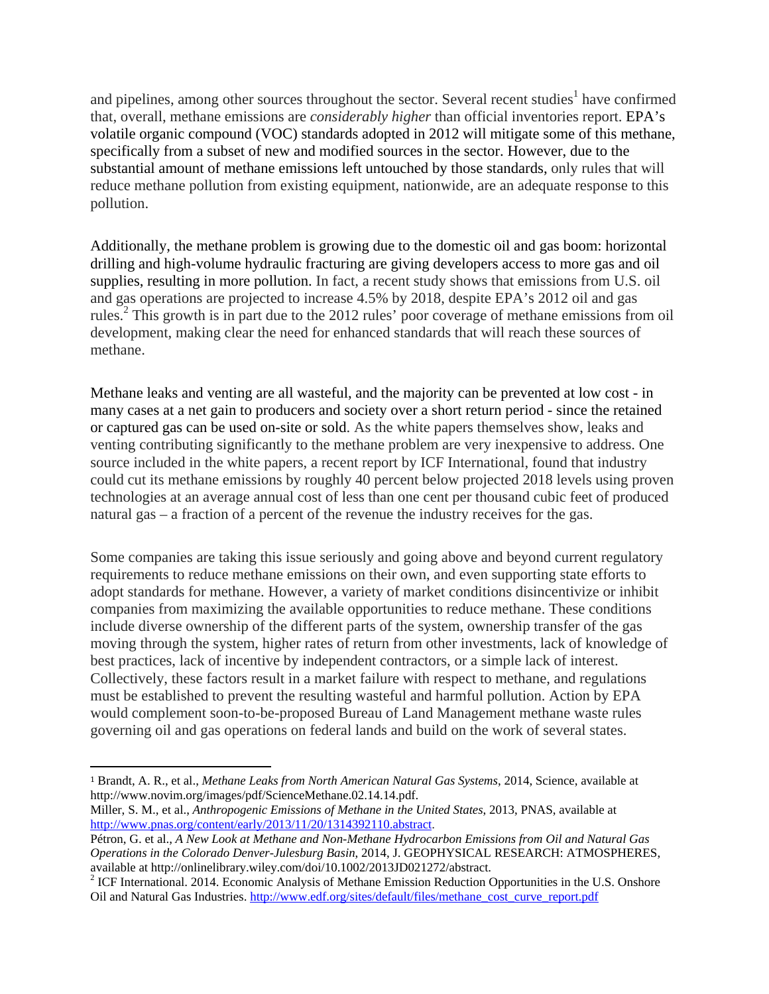and pipelines, among other sources throughout the sector. Several recent studies<sup>1</sup> have confirmed that, overall, methane emissions are *considerably higher* than official inventories report. EPA's volatile organic compound (VOC) standards adopted in 2012 will mitigate some of this methane, specifically from a subset of new and modified sources in the sector. However, due to the substantial amount of methane emissions left untouched by those standards, only rules that will reduce methane pollution from existing equipment, nationwide, are an adequate response to this pollution.

Additionally, the methane problem is growing due to the domestic oil and gas boom: horizontal drilling and high-volume hydraulic fracturing are giving developers access to more gas and oil supplies, resulting in more pollution. In fact, a recent study shows that emissions from U.S. oil and gas operations are projected to increase 4.5% by 2018, despite EPA's 2012 oil and gas rules.<sup>2</sup> This growth is in part due to the 2012 rules' poor coverage of methane emissions from oil development, making clear the need for enhanced standards that will reach these sources of methane.

Methane leaks and venting are all wasteful, and the majority can be prevented at low cost - in many cases at a net gain to producers and society over a short return period - since the retained or captured gas can be used on-site or sold. As the white papers themselves show, leaks and venting contributing significantly to the methane problem are very inexpensive to address. One source included in the white papers, a recent report by ICF International, found that industry could cut its methane emissions by roughly 40 percent below projected 2018 levels using proven technologies at an average annual cost of less than one cent per thousand cubic feet of produced natural gas – a fraction of a percent of the revenue the industry receives for the gas.

Some companies are taking this issue seriously and going above and beyond current regulatory requirements to reduce methane emissions on their own, and even supporting state efforts to adopt standards for methane. However, a variety of market conditions disincentivize or inhibit companies from maximizing the available opportunities to reduce methane. These conditions include diverse ownership of the different parts of the system, ownership transfer of the gas moving through the system, higher rates of return from other investments, lack of knowledge of best practices, lack of incentive by independent contractors, or a simple lack of interest. Collectively, these factors result in a market failure with respect to methane, and regulations must be established to prevent the resulting wasteful and harmful pollution. Action by EPA would complement soon-to-be-proposed Bureau of Land Management methane waste rules governing oil and gas operations on federal lands and build on the work of several states.

 

<sup>1</sup> Brandt, A. R., et al., *Methane Leaks from North American Natural Gas Systems*, 2014, Science, available at http://www.novim.org/images/pdf/ScienceMethane.02.14.14.pdf.

Miller, S. M., et al., *Anthropogenic Emissions of Methane in the United States*, 2013, PNAS, available at http://www.pnas.org/content/early/2013/11/20/1314392110.abstract.

Pétron, G. et al., *A New Look at Methane and Non-Methane Hydrocarbon Emissions from Oil and Natural Gas Operations in the Colorado Denver-Julesburg Basin*, 2014, J. GEOPHYSICAL RESEARCH: ATMOSPHERES, available at http://onlinelibrary.wiley.com/doi/10.1002/2013JD021272/abstract. <sup>2</sup>

<sup>&</sup>lt;sup>2</sup> ICF International. 2014. Economic Analysis of Methane Emission Reduction Opportunities in the U.S. Onshore Oil and Natural Gas Industries. http://www.edf.org/sites/default/files/methane\_cost\_curve\_report.pdf